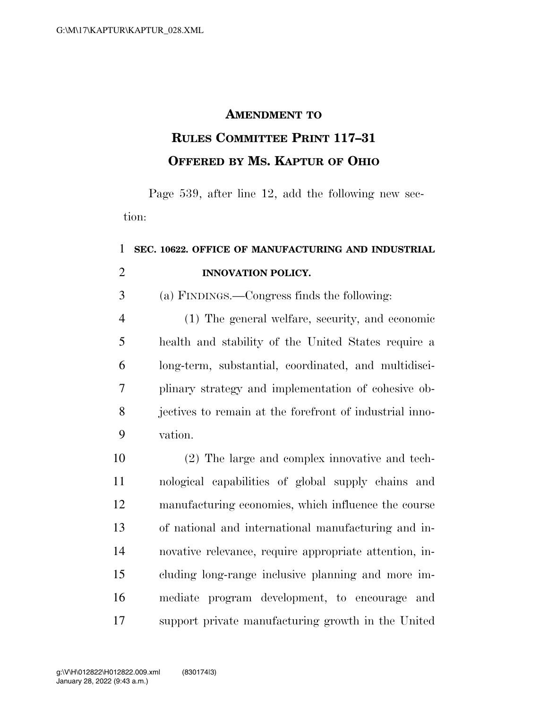## **AMENDMENT TO**

## **RULES COMMITTEE PRINT 117–31 OFFERED BY MS. KAPTUR OF OHIO**

Page 539, after line 12, add the following new section:

## **SEC. 10622. OFFICE OF MANUFACTURING AND INDUSTRIAL INNOVATION POLICY.**

(a) FINDINGS.—Congress finds the following:

 (1) The general welfare, security, and economic health and stability of the United States require a long-term, substantial, coordinated, and multidisci- plinary strategy and implementation of cohesive ob- jectives to remain at the forefront of industrial inno-vation.

 (2) The large and complex innovative and tech- nological capabilities of global supply chains and manufacturing economies, which influence the course of national and international manufacturing and in- novative relevance, require appropriate attention, in- cluding long-range inclusive planning and more im- mediate program development, to encourage and support private manufacturing growth in the United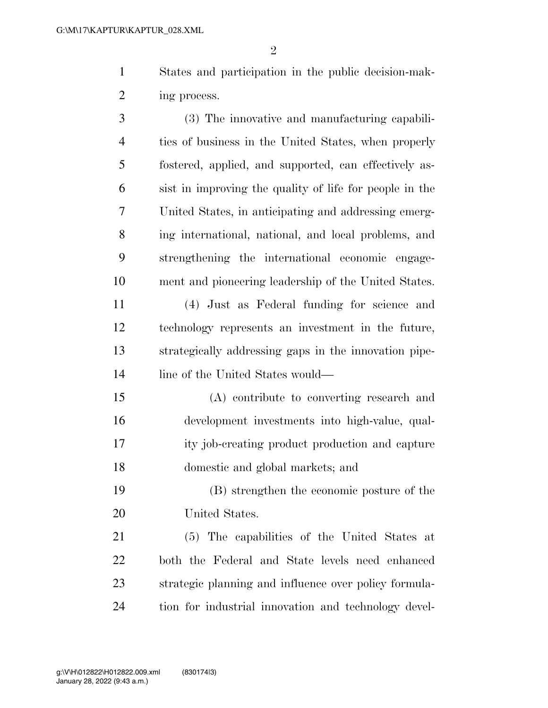States and participation in the public decision-mak-2 ing process.

 (3) The innovative and manufacturing capabili- ties of business in the United States, when properly fostered, applied, and supported, can effectively as- sist in improving the quality of life for people in the United States, in anticipating and addressing emerg- ing international, national, and local problems, and strengthening the international economic engage-ment and pioneering leadership of the United States.

 (4) Just as Federal funding for science and technology represents an investment in the future, strategically addressing gaps in the innovation pipe-14 line of the United States would—

 (A) contribute to converting research and development investments into high-value, qual- ity job-creating product production and capture domestic and global markets; and

 (B) strengthen the economic posture of the United States.

 (5) The capabilities of the United States at both the Federal and State levels need enhanced strategic planning and influence over policy formula-tion for industrial innovation and technology devel-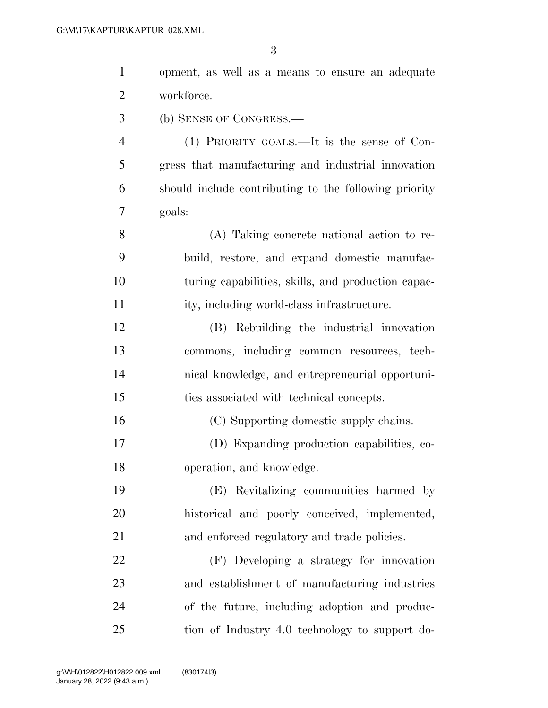| $\mathbf{1}$   | opment, as well as a means to ensure an adequate      |
|----------------|-------------------------------------------------------|
| $\overline{2}$ | workforce.                                            |
| 3              | (b) SENSE OF CONGRESS.—                               |
| $\overline{4}$ | $(1)$ PRIORITY GOALS.—It is the sense of Con-         |
| 5              | gress that manufacturing and industrial innovation    |
| 6              | should include contributing to the following priority |
| 7              | goals:                                                |
| 8              | (A) Taking concrete national action to re-            |
| 9              | build, restore, and expand domestic manufac-          |
| 10             | turing capabilities, skills, and production capac-    |
| 11             | ity, including world-class infrastructure.            |
| 12             | (B) Rebuilding the industrial innovation              |
| 13             | commons, including common resources, tech-            |
| 14             | nical knowledge, and entrepreneurial opportuni-       |
| 15             | ties associated with technical concepts.              |
| 16             | (C) Supporting domestic supply chains.                |
| 17             | (D) Expanding production capabilities, co-            |
| 18             | operation, and knowledge.                             |
| 19             | (E) Revitalizing communities harmed by                |
| 20             | historical and poorly conceived, implemented,         |
| 21             | and enforced regulatory and trade policies.           |
| 22             | (F) Developing a strategy for innovation              |
| 23             | and establishment of manufacturing industries         |
| 24             | of the future, including adoption and produc-         |
| 25             | tion of Industry 4.0 technology to support do-        |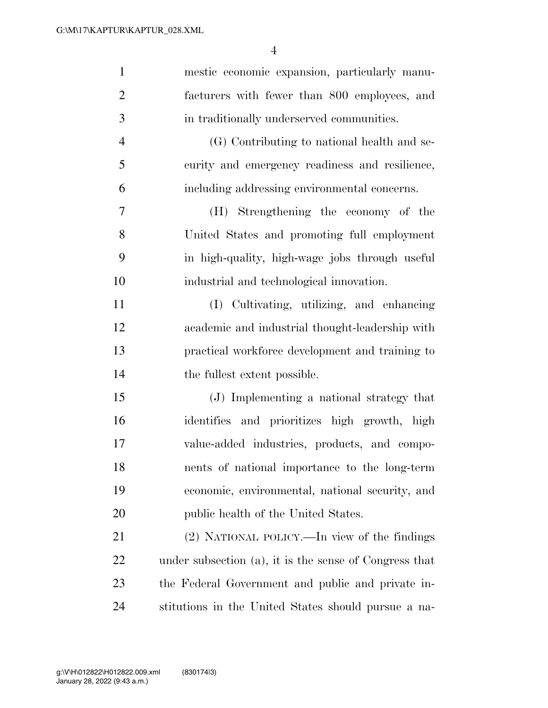| $\mathbf{1}$   | mestic economic expansion, particularly manu-          |
|----------------|--------------------------------------------------------|
| $\overline{2}$ | facturers with fewer than 800 employees, and           |
| 3              | in traditionally underserved communities.              |
| $\overline{4}$ | (G) Contributing to national health and se-            |
| 5              | curity and emergency readiness and resilience,         |
| 6              | including addressing environmental concerns.           |
| 7              | (H) Strengthening the economy of the                   |
| 8              | United States and promoting full employment            |
| 9              | in high-quality, high-wage jobs through useful         |
| 10             | industrial and technological innovation.               |
| 11             | (I) Cultivating, utilizing, and enhancing              |
| 12             | academic and industrial thought-leadership with        |
| 13             | practical workforce development and training to        |
| 14             | the fullest extent possible.                           |
| 15             | (J) Implementing a national strategy that              |
| 16             | identifies and prioritizes high growth, high           |
| 17             | value-added industries, products, and compo-           |
| 18             | nents of national importance to the long-term          |
| 19             | economic, environmental, national security, and        |
| 20             | public health of the United States.                    |
| 21             | (2) NATIONAL POLICY.—In view of the findings           |
| 22             | under subsection (a), it is the sense of Congress that |
| 23             | the Federal Government and public and private in-      |
| 24             | stitutions in the United States should pursue a na-    |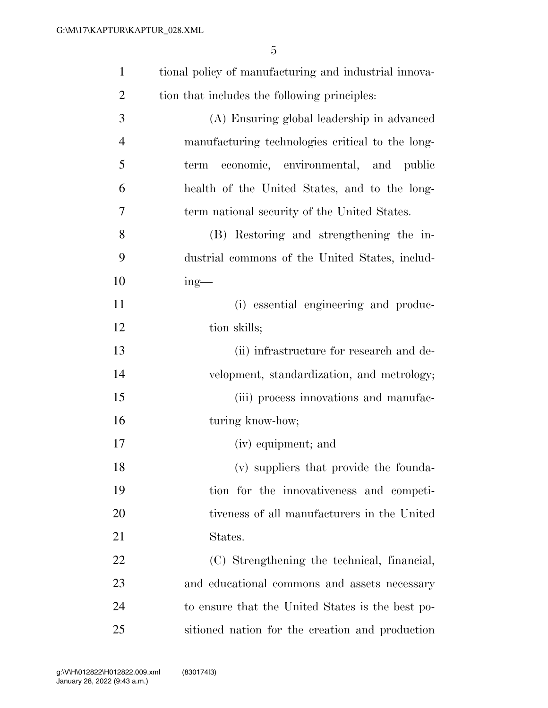| $\mathbf{1}$   | tional policy of manufacturing and industrial innova- |
|----------------|-------------------------------------------------------|
| $\overline{2}$ | tion that includes the following principles:          |
| 3              | (A) Ensuring global leadership in advanced            |
| $\overline{4}$ | manufacturing technologies critical to the long-      |
| 5              | economic, environmental, and public<br>term           |
| 6              | health of the United States, and to the long-         |
| 7              | term national security of the United States.          |
| 8              | (B) Restoring and strengthening the in-               |
| 9              | dustrial commons of the United States, includ-        |
| 10             | $ing$ —                                               |
| 11             | (i) essential engineering and produc-                 |
| 12             | tion skills;                                          |
| 13             | (ii) infrastructure for research and de-              |
| 14             | velopment, standardization, and metrology;            |
| 15             | (iii) process innovations and manufac-                |
| 16             | turing know-how;                                      |
| 17             | (iv) equipment; and                                   |
| 18             | (v) suppliers that provide the founda-                |
| 19             | tion for the innovativeness and competi-              |
| 20             | tiveness of all manufacturers in the United           |
| 21             | States.                                               |
| 22             | (C) Strengthening the technical, financial,           |
| 23             | and educational commons and assets necessary          |
| 24             | to ensure that the United States is the best po-      |
| 25             | sitioned nation for the creation and production       |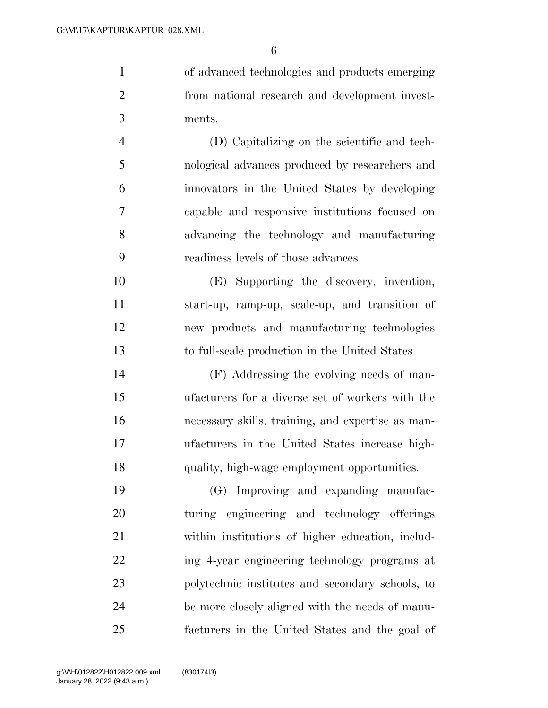of advanced technologies and products emerging from national research and development invest-ments.

 (D) Capitalizing on the scientific and tech- nological advances produced by researchers and innovators in the United States by developing capable and responsive institutions focused on advancing the technology and manufacturing readiness levels of those advances.

 (E) Supporting the discovery, invention, start-up, ramp-up, scale-up, and transition of new products and manufacturing technologies to full-scale production in the United States.

 (F) Addressing the evolving needs of man- ufacturers for a diverse set of workers with the necessary skills, training, and expertise as man- ufacturers in the United States increase high-quality, high-wage employment opportunities.

 (G) Improving and expanding manufac- turing engineering and technology offerings within institutions of higher education, includ- ing 4-year engineering technology programs at polytechnic institutes and secondary schools, to be more closely aligned with the needs of manu-facturers in the United States and the goal of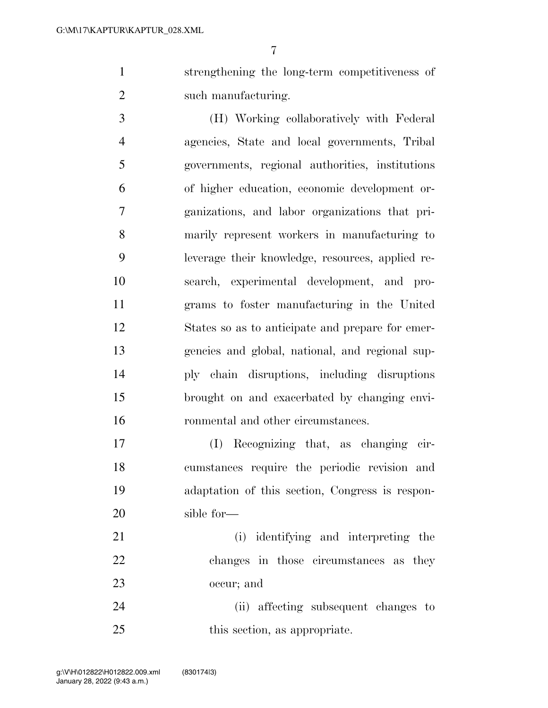strengthening the long-term competitiveness of such manufacturing.

 (H) Working collaboratively with Federal agencies, State and local governments, Tribal governments, regional authorities, institutions of higher education, economic development or- ganizations, and labor organizations that pri- marily represent workers in manufacturing to leverage their knowledge, resources, applied re- search, experimental development, and pro- grams to foster manufacturing in the United States so as to anticipate and prepare for emer- gencies and global, national, and regional sup- ply chain disruptions, including disruptions brought on and exacerbated by changing envi-ronmental and other circumstances.

 (I) Recognizing that, as changing cir- cumstances require the periodic revision and adaptation of this section, Congress is respon-sible for—

 (i) identifying and interpreting the changes in those circumstances as they occur; and

 (ii) affecting subsequent changes to this section, as appropriate.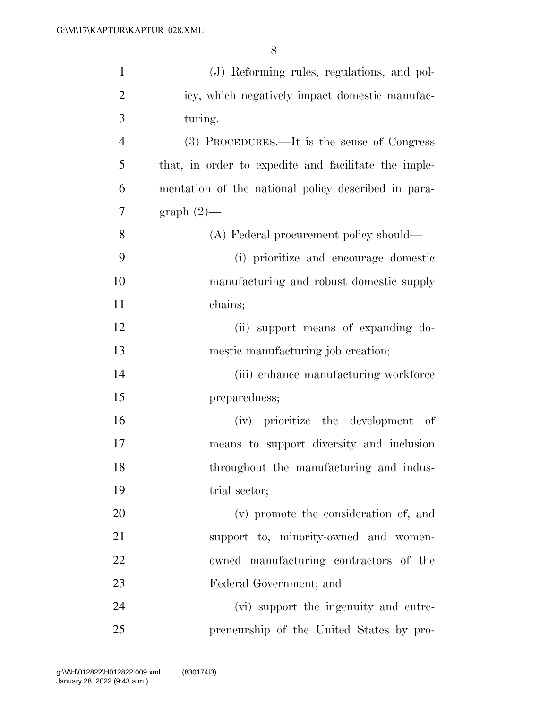| $\mathbf{1}$   | (J) Reforming rules, regulations, and pol-           |
|----------------|------------------------------------------------------|
| $\overline{2}$ | icy, which negatively impact domestic manufac-       |
| 3              | turing.                                              |
| $\overline{4}$ | (3) PROCEDURES.—It is the sense of Congress          |
| 5              | that, in order to expedite and facilitate the imple- |
| 6              | mentation of the national policy described in para-  |
| 7              | graph $(2)$ —                                        |
| 8              | (A) Federal procurement policy should—               |
| 9              | (i) prioritize and encourage domestic                |
| 10             | manufacturing and robust domestic supply             |
| 11             | chains;                                              |
| 12             | (ii) support means of expanding do-                  |
| 13             | mestic manufacturing job creation;                   |
| 14             | (iii) enhance manufacturing workforce                |
| 15             | preparedness;                                        |
| 16             | (iv) prioritize the development of                   |
| 17             | means to support diversity and inclusion             |
| 18             | throughout the manufacturing and indus-              |
| 19             | trial sector;                                        |
| 20             | (v) promote the consideration of, and                |
| 21             | support to, minority-owned and women-                |
| 22             | owned manufacturing contractors of the               |
| 23             | Federal Government; and                              |
| 24             | (vi) support the ingenuity and entre-                |
| 25             | preneurship of the United States by pro-             |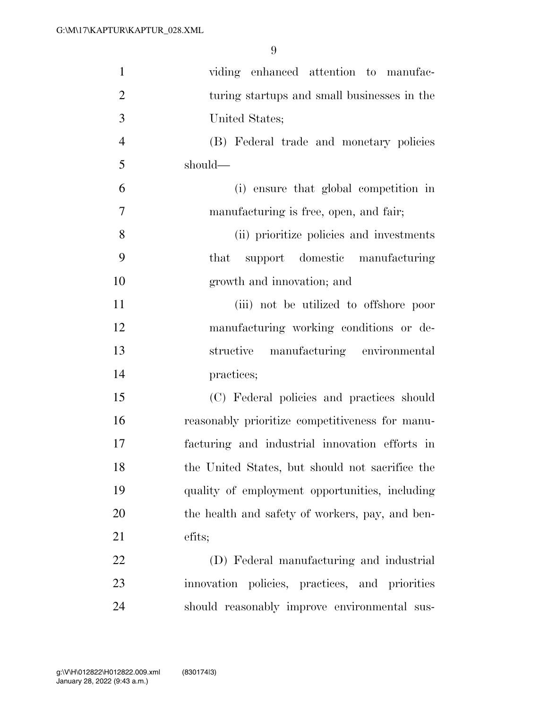| $\mathbf{1}$     | viding enhanced attention to manufac-           |
|------------------|-------------------------------------------------|
| $\overline{2}$   | turing startups and small businesses in the     |
| 3                | United States;                                  |
| $\overline{4}$   | (B) Federal trade and monetary policies         |
| 5                | should—                                         |
| 6                | (i) ensure that global competition in           |
| $\boldsymbol{7}$ | manufacturing is free, open, and fair;          |
| 8                | (ii) prioritize policies and investments        |
| 9                | that support domestic manufacturing             |
| 10               | growth and innovation; and                      |
| 11               | (iii) not be utilized to offshore poor          |
| 12               | manufacturing working conditions or de-         |
| 13               | structive manufacturing environmental           |
| 14               | practices;                                      |
| 15               | (C) Federal policies and practices should       |
| 16               | reasonably prioritize competitiveness for manu- |
| 17               | facturing and industrial innovation efforts in  |
| 18               | the United States, but should not sacrifice the |
| 19               | quality of employment opportunities, including  |
| 20               | the health and safety of workers, pay, and ben- |
| 21               | efits;                                          |
| 22               | (D) Federal manufacturing and industrial        |
| 23               | innovation policies, practices, and priorities  |
| 24               | should reasonably improve environmental sus-    |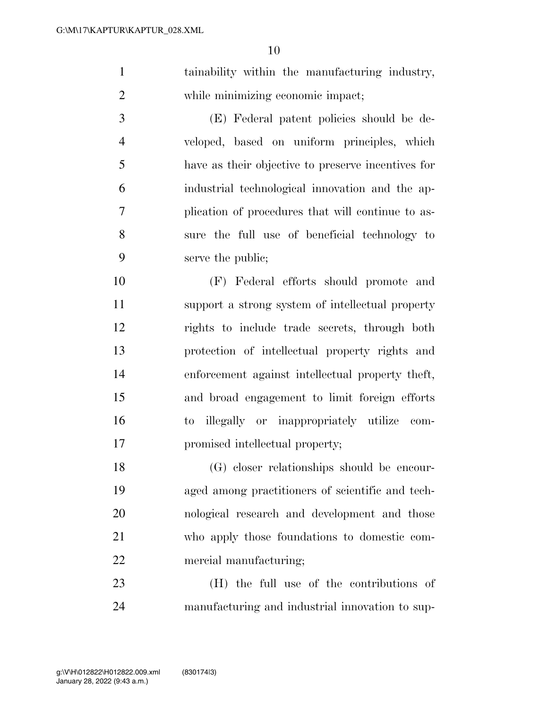tainability within the manufacturing industry, while minimizing economic impact;

 (E) Federal patent policies should be de- veloped, based on uniform principles, which have as their objective to preserve incentives for industrial technological innovation and the ap- plication of procedures that will continue to as- sure the full use of beneficial technology to serve the public;

 (F) Federal efforts should promote and support a strong system of intellectual property rights to include trade secrets, through both protection of intellectual property rights and enforcement against intellectual property theft, and broad engagement to limit foreign efforts to illegally or inappropriately utilize com-promised intellectual property;

 (G) closer relationships should be encour- aged among practitioners of scientific and tech- nological research and development and those who apply those foundations to domestic com-mercial manufacturing;

 (H) the full use of the contributions of manufacturing and industrial innovation to sup-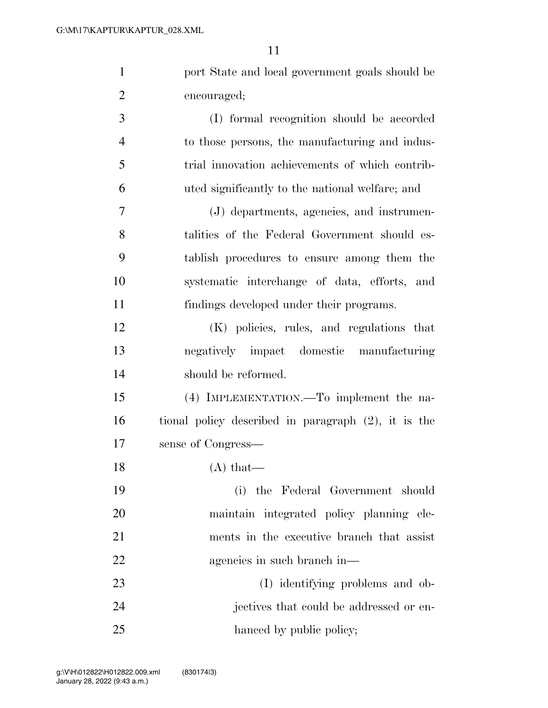| $\mathbf{1}$   | port State and local government goals should be     |
|----------------|-----------------------------------------------------|
| $\overline{2}$ | encouraged;                                         |
| 3              | (I) formal recognition should be accorded           |
| $\overline{4}$ | to those persons, the manufacturing and indus-      |
| 5              | trial innovation achievements of which contrib-     |
| 6              | uted significantly to the national welfare; and     |
| 7              | (J) departments, agencies, and instrumen-           |
| 8              | talities of the Federal Government should es-       |
| 9              | tablish procedures to ensure among them the         |
| 10             | systematic interchange of data, efforts, and        |
| 11             | findings developed under their programs.            |
| 12             | (K) policies, rules, and regulations that           |
| 13             | negatively impact domestic manufacturing            |
| 14             | should be reformed.                                 |
| 15             | (4) IMPLEMENTATION.—To implement the na-            |
| 16             | tional policy described in paragraph (2), it is the |
| 17             | sense of Congress—                                  |
| 18             | $(A)$ that—                                         |
| 19             | (i) the Federal Government should                   |
| 20             | maintain integrated policy planning ele-            |
| 21             | ments in the executive branch that assist           |
| 22             | agencies in such branch in—                         |
| 23             | (I) identifying problems and ob-                    |
| 24             | jectives that could be addressed or en-             |
| 25             | hanced by public policy;                            |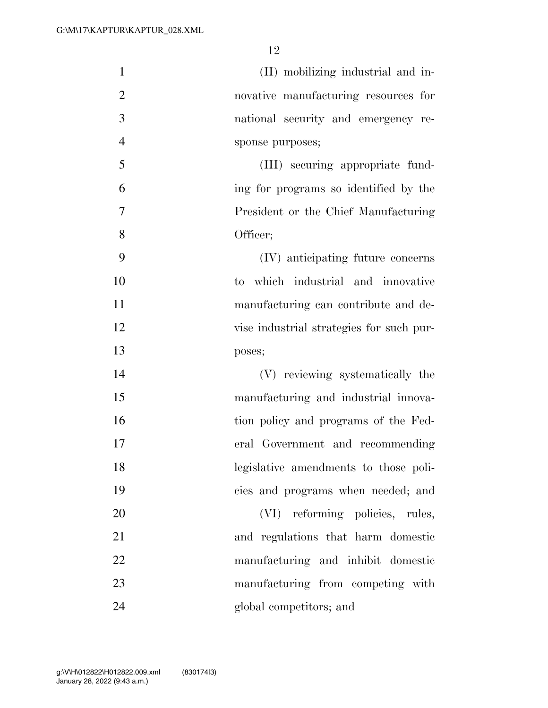| $\mathbf{1}$   | (II) mobilizing industrial and in-                        |
|----------------|-----------------------------------------------------------|
| $\overline{2}$ | novative manufacturing resources for                      |
| 3              | national security and emergency re-                       |
| $\overline{4}$ | sponse purposes;                                          |
| 5              | (III) securing appropriate fund-                          |
| 6              | ing for programs so identified by the                     |
| 7              | President or the Chief Manufacturing                      |
| 8              | Officer;                                                  |
| 9              | (IV) anticipating future concerns                         |
| 10             | which industrial and innovative<br>$\mathop{\mathrm{to}}$ |
| 11             | manufacturing can contribute and de-                      |
| 12             | vise industrial strategies for such pur-                  |
| 13             | poses;                                                    |
| 14             | (V) reviewing systematically the                          |
| 15             | manufacturing and industrial innova-                      |
| 16             | tion policy and programs of the Fed-                      |
| 17             | eral Government and recommending                          |
| 18             | legislative amendments to those poli-                     |
| 19             | cies and programs when needed; and                        |
| 20             | (VI) reforming policies, rules,                           |
| 21             | and regulations that harm domestic                        |
| 22             | manufacturing and inhibit domestic                        |
| 23             | manufacturing from competing with                         |
| 24             | global competitors; and                                   |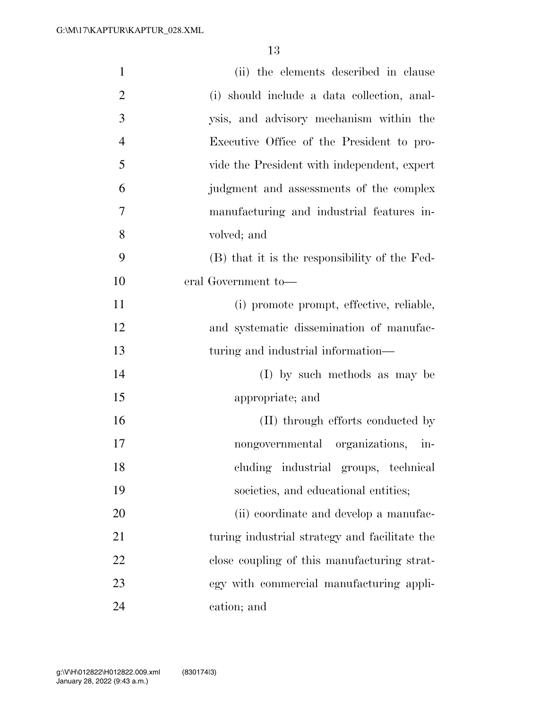| $\mathbf{1}$   | (ii) the elements described in clause         |
|----------------|-----------------------------------------------|
| $\overline{2}$ | (i) should include a data collection, anal-   |
| 3              | ysis, and advisory mechanism within the       |
| $\overline{4}$ | Executive Office of the President to pro-     |
| 5              | vide the President with independent, expert   |
| 6              | judgment and assessments of the complex       |
| 7              | manufacturing and industrial features in-     |
| 8              | volved; and                                   |
| 9              | (B) that it is the responsibility of the Fed- |
| 10             | eral Government to-                           |
| 11             | (i) promote prompt, effective, reliable,      |
| 12             | and systematic dissemination of manufac-      |
| 13             | turing and industrial information—            |
| 14             | (I) by such methods as may be                 |
| 15             | appropriate; and                              |
| 16             | (II) through efforts conducted by             |
| 17             | nongovernmental organizations, in-            |
| 18             | cluding industrial groups, technical          |
| 19             | societies, and educational entities;          |
| 20             | (ii) coordinate and develop a manufac-        |
| 21             | turing industrial strategy and facilitate the |
| 22             | close coupling of this manufacturing strat-   |
| 23             | egy with commercial manufacturing appli-      |
| 24             | cation; and                                   |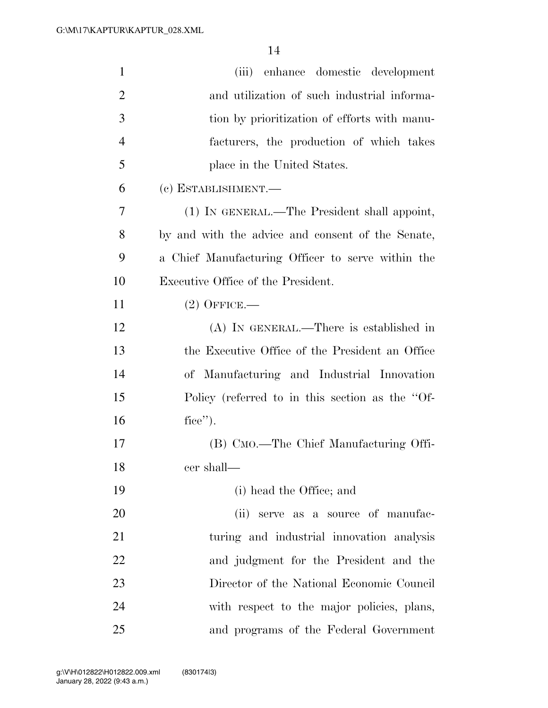| $\mathbf{1}$   | (iii) enhance domestic development                |
|----------------|---------------------------------------------------|
| $\overline{2}$ | and utilization of such industrial informa-       |
| 3              | tion by prioritization of efforts with manu-      |
| $\overline{4}$ | facturers, the production of which takes          |
| 5              | place in the United States.                       |
| 6              | (c) ESTABLISHMENT.—                               |
| 7              | (1) IN GENERAL.—The President shall appoint,      |
| 8              | by and with the advice and consent of the Senate, |
| 9              | a Chief Manufacturing Officer to serve within the |
| 10             | Executive Office of the President.                |
| 11             | $(2)$ OFFICE.—                                    |
| 12             | $(A)$ In GENERAL.—There is established in         |
| 13             | the Executive Office of the President an Office   |
| 14             | of Manufacturing and Industrial Innovation        |
| 15             | Policy (referred to in this section as the "Of-   |
| 16             | $fice$ ").                                        |
| 17             | (B) CMO.—The Chief Manufacturing Offi-            |
| 18             | cer shall—                                        |
| 19             | (i) head the Office; and                          |
| 20             | (ii) serve as a source of manufac-                |
| 21             | turing and industrial innovation analysis         |
| 22             | and judgment for the President and the            |
| 23             | Director of the National Economic Council         |
| 24             | with respect to the major policies, plans,        |
| 25             | and programs of the Federal Government            |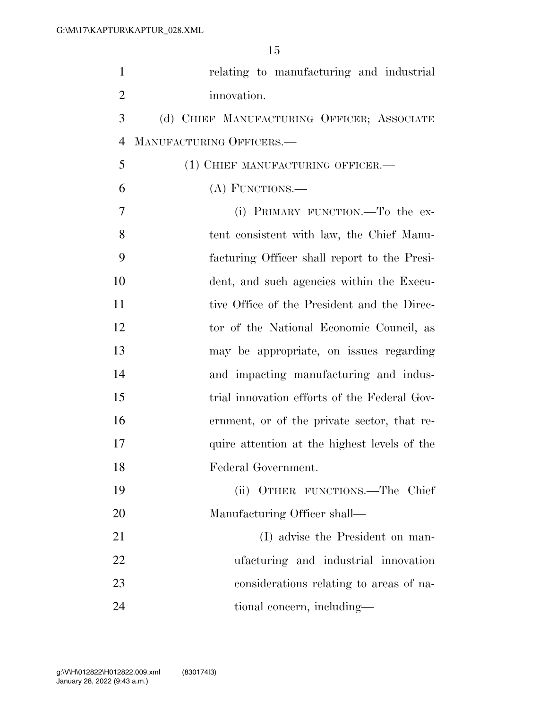| $\mathbf{1}$   | relating to manufacturing and industrial     |
|----------------|----------------------------------------------|
| $\overline{2}$ | innovation.                                  |
| 3              | (d) CHIEF MANUFACTURING OFFICER; ASSOCIATE   |
| $\overline{4}$ | MANUFACTURING OFFICERS.-                     |
| 5              | (1) CHIEF MANUFACTURING OFFICER.—            |
| 6              | (A) FUNCTIONS.—                              |
| 7              | (i) PRIMARY FUNCTION.—To the ex-             |
| 8              | tent consistent with law, the Chief Manu-    |
| 9              | facturing Officer shall report to the Presi- |
| 10             | dent, and such agencies within the Execu-    |
| 11             | tive Office of the President and the Direc-  |
| 12             | tor of the National Economic Council, as     |
| 13             | may be appropriate, on issues regarding      |
| 14             | and impacting manufacturing and indus-       |
| 15             | trial innovation efforts of the Federal Gov- |
| 16             | ernment, or of the private sector, that re-  |
| 17             | quire attention at the highest levels of the |
| 18             | Federal Government.                          |
| 19             | (ii) OTHER FUNCTIONS.—The Chief              |
| 20             | Manufacturing Officer shall—                 |
| 21             | (I) advise the President on man-             |
| 22             | ufacturing and industrial innovation         |
| 23             | considerations relating to areas of na-      |
| 24             | tional concern, including—                   |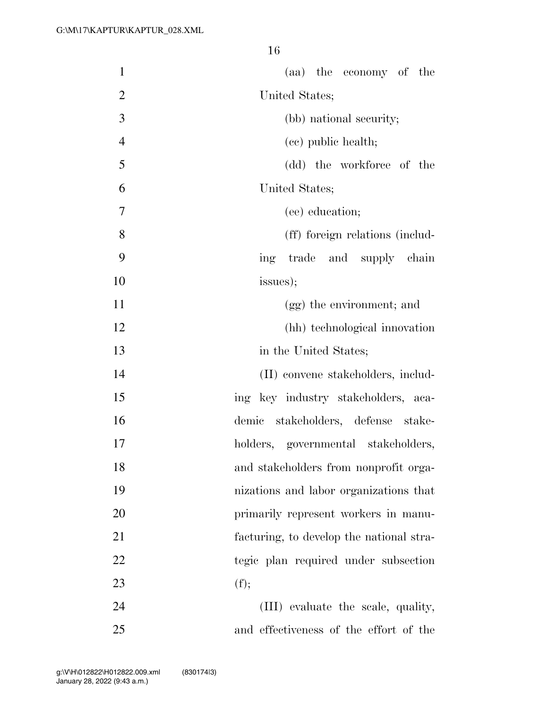| $\mathbf{1}$   | (aa) the economy of the                  |
|----------------|------------------------------------------|
| $\overline{2}$ | United States;                           |
| 3              | (bb) national security;                  |
| $\overline{4}$ | (cc) public health;                      |
| 5              | (dd) the workforce of the                |
| 6              | United States;                           |
| $\tau$         | (ee) education;                          |
| 8              | (ff) foreign relations (includ-          |
| 9              | ing trade and supply chain               |
| 10             | issues);                                 |
| 11             | (gg) the environment; and                |
| 12             | (hh) technological innovation            |
| 13             | in the United States;                    |
| 14             | (II) convene stakeholders, includ-       |
| 15             | ing key industry stakeholders, aca-      |
| 16             | demic stakeholders, defense stake-       |
| 17             | holders, governmental stakeholders,      |
| 18             | and stakeholders from nonprofit orga-    |
| 19             | nizations and labor organizations that   |
| 20             | primarily represent workers in manu-     |
| 21             | facturing, to develop the national stra- |
| 22             | tegic plan required under subsection     |
| 23             | (f);                                     |
| 24             | (III) evaluate the scale, quality,       |
| 25             | and effectiveness of the effort of the   |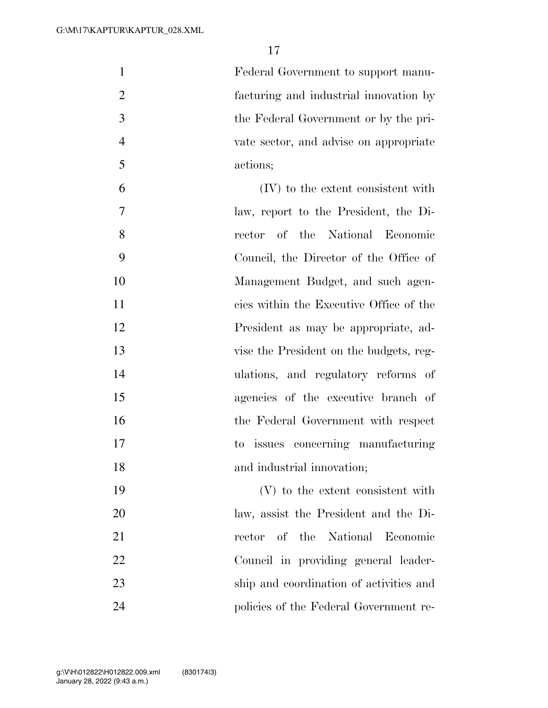Federal Government to support manu- facturing and industrial innovation by the Federal Government or by the pri- vate sector, and advise on appropriate actions; (IV) to the extent consistent with

 law, report to the President, the Di- rector of the National Economic Council, the Director of the Office of Management Budget, and such agen- cies within the Executive Office of the President as may be appropriate, ad- vise the President on the budgets, reg- ulations, and regulatory reforms of agencies of the executive branch of the Federal Government with respect to issues concerning manufacturing 18 and industrial innovation;

 (V) to the extent consistent with law, assist the President and the Di-21 rector of the National Economic Council in providing general leader- ship and coordination of activities and policies of the Federal Government re-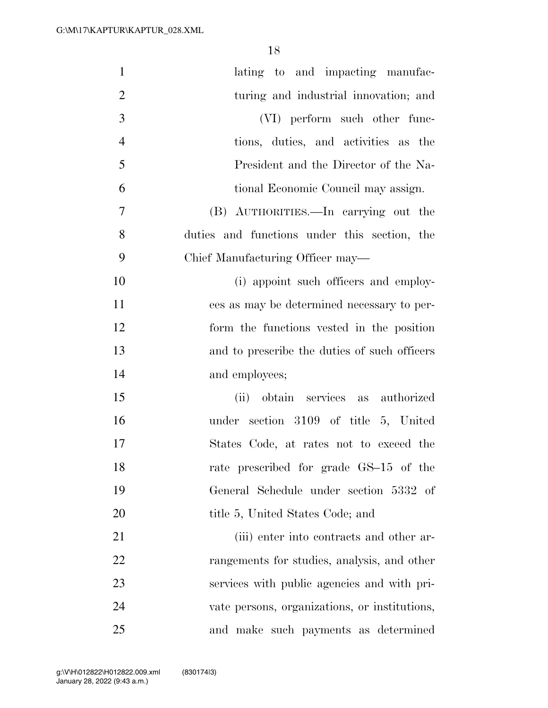| $\mathbf{1}$   | lating to and impacting manufac-              |
|----------------|-----------------------------------------------|
| $\overline{2}$ | turing and industrial innovation; and         |
| 3              | (VI) perform such other func-                 |
| $\overline{4}$ | tions, duties, and activities as the          |
| 5              | President and the Director of the Na-         |
| 6              | tional Economic Council may assign.           |
| $\overline{7}$ | (B) AUTHORITIES.—In carrying out the          |
| 8              | duties and functions under this section, the  |
| 9              | Chief Manufacturing Officer may-              |
| 10             | (i) appoint such officers and employ-         |
| 11             | ees as may be determined necessary to per-    |
| 12             | form the functions vested in the position     |
| 13             | and to prescribe the duties of such officers  |
| 14             | and employees;                                |
| 15             | (ii) obtain services as authorized            |
| 16             | under section 3109 of title 5, United         |
| 17             | States Code, at rates not to exceed the       |
| 18             | rate prescribed for grade GS-15 of the        |
| 19             | General Schedule under section 5332 of        |
| 20             | title 5, United States Code; and              |
| 21             | (iii) enter into contracts and other ar-      |
| 22             | rangements for studies, analysis, and other   |
| 23             | services with public agencies and with pri-   |
| 24             | vate persons, organizations, or institutions, |
| 25             | and make such payments as determined          |
|                |                                               |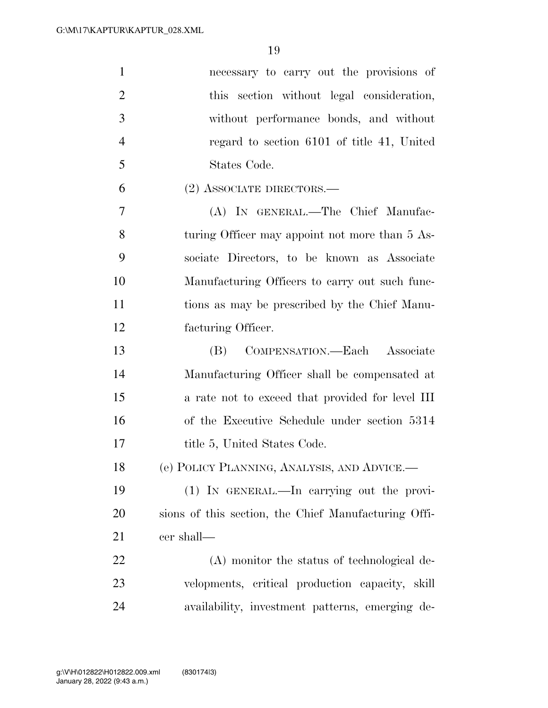| $\mathbf{1}$   | necessary to carry out the provisions of             |
|----------------|------------------------------------------------------|
| $\overline{2}$ | this section without legal consideration,            |
| 3              | without performance bonds, and without               |
| $\overline{4}$ | regard to section 6101 of title 41, United           |
| 5              | States Code.                                         |
| 6              | $(2)$ ASSOCIATE DIRECTORS.—                          |
| 7              | (A) IN GENERAL.—The Chief Manufac-                   |
| 8              | turing Officer may appoint not more than 5 As-       |
| 9              | sociate Directors, to be known as Associate          |
| 10             | Manufacturing Officers to carry out such func-       |
| 11             | tions as may be prescribed by the Chief Manu-        |
| 12             | facturing Officer.                                   |
| 13             | (B) COMPENSATION.—Each Associate                     |
| 14             | Manufacturing Officer shall be compensated at        |
| 15             | a rate not to exceed that provided for level III     |
| 16             | of the Executive Schedule under section 5314         |
| 17             | title 5, United States Code.                         |
| 18             | (e) POLICY PLANNING, ANALYSIS, AND ADVICE.           |
| 19             | (1) IN GENERAL.—In carrying out the provi-           |
| 20             | sions of this section, the Chief Manufacturing Offi- |
| 21             | cer shall—                                           |
| 22             | (A) monitor the status of technological de-          |
| 23             | velopments, critical production capacity, skill      |
| 24             | availability, investment patterns, emerging de-      |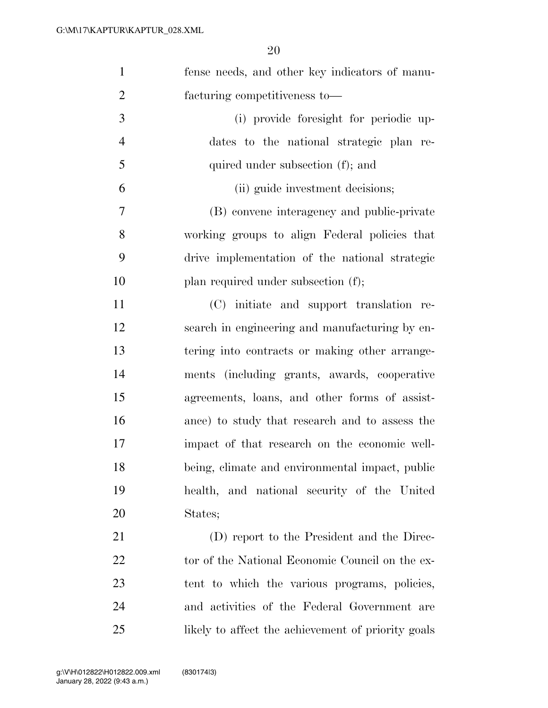| $\mathbf{1}$   | fense needs, and other key indicators of manu-     |
|----------------|----------------------------------------------------|
| $\overline{2}$ | facturing competitiveness to-                      |
| 3              | (i) provide foresight for periodic up-             |
| $\overline{4}$ | dates to the national strategic plan re-           |
| 5              | quired under subsection (f); and                   |
| 6              | (ii) guide investment decisions;                   |
| $\overline{7}$ | (B) convene interagency and public-private         |
| 8              | working groups to align Federal policies that      |
| 9              | drive implementation of the national strategic     |
| 10             | plan required under subsection (f);                |
| 11             | (C) initiate and support translation re-           |
| 12             | search in engineering and manufacturing by en-     |
| 13             | tering into contracts or making other arrange-     |
| 14             | ments (including grants, awards, cooperative       |
| 15             | agreements, loans, and other forms of assist-      |
| 16             | ance) to study that research and to assess the     |
| 17             | impact of that research on the economic well-      |
| 18             | being, climate and environmental impact, public    |
| 19             | health, and national security of the United        |
| 20             | States;                                            |
| 21             | (D) report to the President and the Direc-         |
| 22             | tor of the National Economic Council on the ex-    |
| 23             | tent to which the various programs, policies,      |
| 24             | and activities of the Federal Government are       |
| 25             | likely to affect the achievement of priority goals |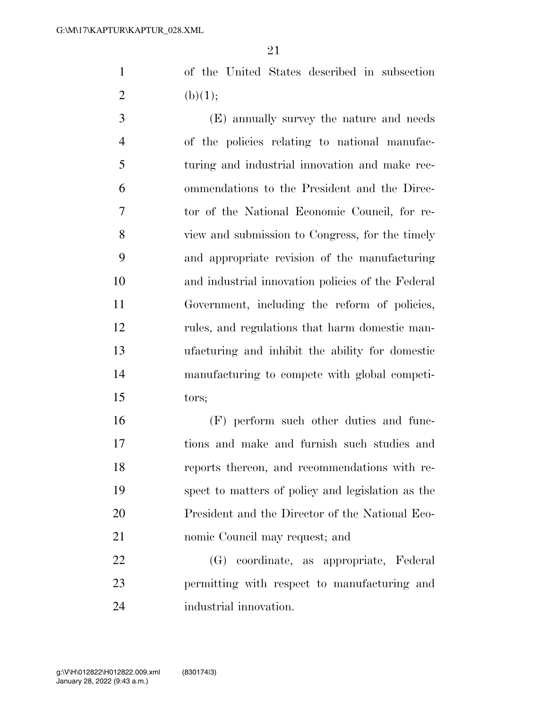of the United States described in subsection 2 (b)(1);

 (E) annually survey the nature and needs of the policies relating to national manufac- turing and industrial innovation and make rec- ommendations to the President and the Direc- tor of the National Economic Council, for re- view and submission to Congress, for the timely and appropriate revision of the manufacturing and industrial innovation policies of the Federal Government, including the reform of policies, rules, and regulations that harm domestic man- ufacturing and inhibit the ability for domestic manufacturing to compete with global competi-tors;

 (F) perform such other duties and func- tions and make and furnish such studies and reports thereon, and recommendations with re- spect to matters of policy and legislation as the President and the Director of the National Eco-nomic Council may request; and

 (G) coordinate, as appropriate, Federal permitting with respect to manufacturing and industrial innovation.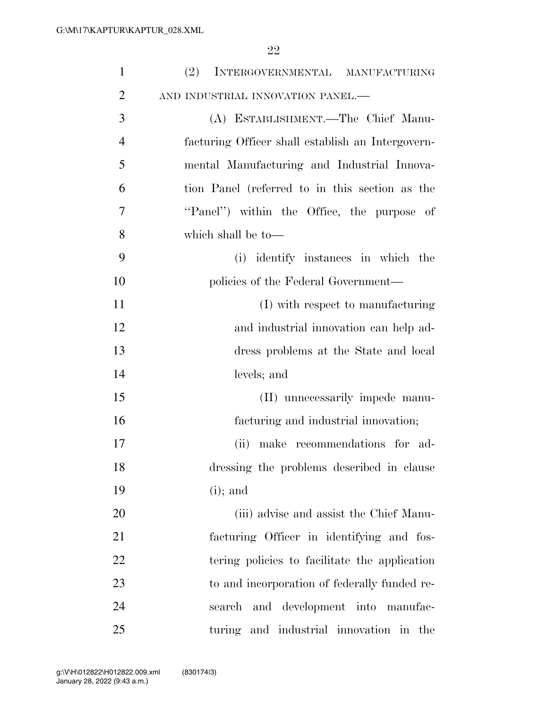| $\mathbf{1}$   | (2)<br>INTERGOVERNMENTAL MANUFACTURING            |
|----------------|---------------------------------------------------|
| $\overline{2}$ | AND INDUSTRIAL INNOVATION PANEL.-                 |
| 3              | (A) ESTABLISHMENT.—The Chief Manu-                |
| $\overline{4}$ | facturing Officer shall establish an Intergovern- |
| 5              | mental Manufacturing and Industrial Innova-       |
| 6              | tion Panel (referred to in this section as the    |
| 7              | "Panel") within the Office, the purpose of        |
| 8              | which shall be to—                                |
| 9              | identify instances in which the<br>(i)            |
| 10             | policies of the Federal Government—               |
| 11             | (I) with respect to manufacturing                 |
| 12             | and industrial innovation can help ad-            |
| 13             | dress problems at the State and local             |
| 14             | levels; and                                       |
| 15             | (II) unnecessarily impede manu-                   |
| 16             | facturing and industrial innovation;              |
| 17             | (ii)<br>make recommendations for ad-              |
| 18             | dressing the problems described in clause         |
| 19             | $(i)$ ; and                                       |
| 20             | (iii) advise and assist the Chief Manu-           |
| 21             | facturing Officer in identifying and fos-         |
| 22             | tering policies to facilitate the application     |
| 23             | to and incorporation of federally funded re-      |
| 24             | and development into manufac-<br>search           |
| 25             | turing and industrial innovation in<br>the        |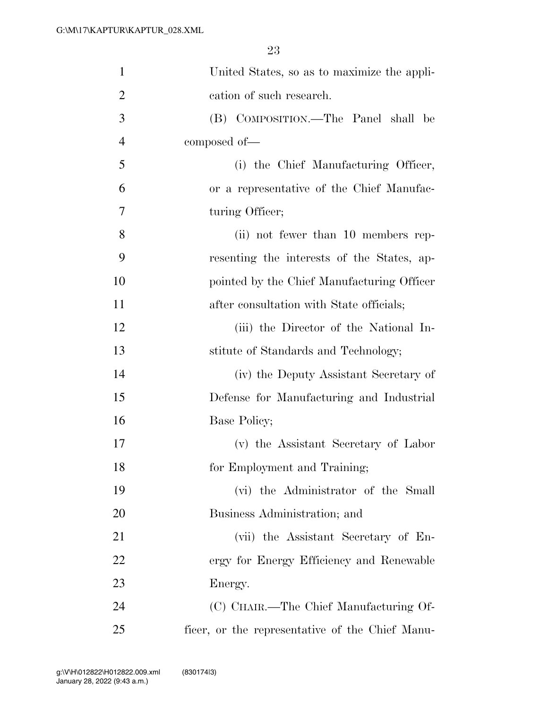| $\mathbf{1}$   | United States, so as to maximize the appli-     |
|----------------|-------------------------------------------------|
| $\overline{2}$ | cation of such research.                        |
| 3              | (B) COMPOSITION.—The Panel shall be             |
| $\overline{4}$ | composed of-                                    |
| 5              | (i) the Chief Manufacturing Officer,            |
| 6              | or a representative of the Chief Manufac-       |
| 7              | turing Officer;                                 |
| 8              | (ii) not fewer than 10 members rep-             |
| 9              | resenting the interests of the States, ap-      |
| 10             | pointed by the Chief Manufacturing Officer      |
| 11             | after consultation with State officials;        |
| 12             | (iii) the Director of the National In-          |
| 13             | stitute of Standards and Technology;            |
| 14             | (iv) the Deputy Assistant Secretary of          |
| 15             | Defense for Manufacturing and Industrial        |
| 16             | Base Policy;                                    |
| 17             | (v) the Assistant Secretary of Labor            |
| 18             | for Employment and Training;                    |
| 19             | (vi) the Administrator of the Small             |
| 20             | Business Administration; and                    |
| 21             | (vii) the Assistant Secretary of En-            |
| 22             | ergy for Energy Efficiency and Renewable        |
| 23             | Energy.                                         |
| 24             | (C) CHAIR.—The Chief Manufacturing Of-          |
| 25             | ficer, or the representative of the Chief Manu- |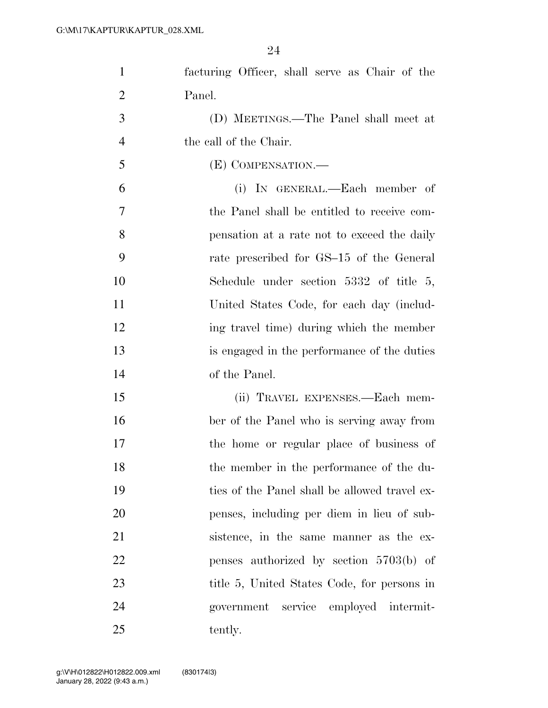| $\mathbf{1}$   | facturing Officer, shall serve as Chair of the |
|----------------|------------------------------------------------|
| $\overline{2}$ | Panel.                                         |
| 3              | (D) MEETINGS.—The Panel shall meet at          |
| $\overline{4}$ | the call of the Chair.                         |
| 5              | (E) COMPENSATION.-                             |
| 6              | (i) IN GENERAL.—Each member of                 |
| 7              | the Panel shall be entitled to receive com-    |
| 8              | pensation at a rate not to exceed the daily    |
| 9              | rate prescribed for GS-15 of the General       |
| 10             | Schedule under section $5332$ of title 5,      |
| 11             | United States Code, for each day (includ-      |
| 12             | ing travel time) during which the member       |
| 13             | is engaged in the performance of the duties    |
| 14             | of the Panel.                                  |
| 15             | (ii) TRAVEL EXPENSES.—Each mem-                |
| 16             | ber of the Panel who is serving away from      |
| 17             | the home or regular place of business of       |
| 18             | the member in the performance of the du-       |
| 19             | ties of the Panel shall be allowed travel ex-  |
| 20             | penses, including per diem in lieu of sub-     |
| 21             | sistence, in the same manner as the ex-        |
| 22             | penses authorized by section 5703(b) of        |
| 23             | title 5, United States Code, for persons in    |
| 24             | government service employed intermit-          |
| 25             | tently.                                        |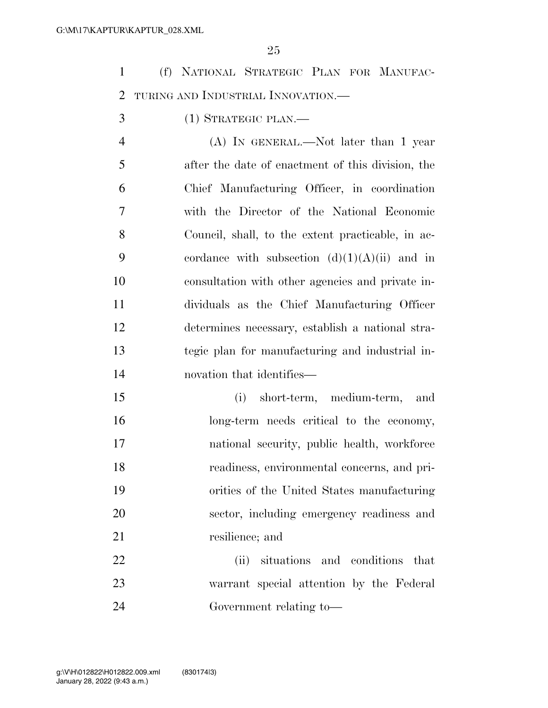(f) NATIONAL STRATEGIC PLAN FOR MANUFAC-TURING AND INDUSTRIAL INNOVATION.—

(1) STRATEGIC PLAN.—

 (A) IN GENERAL.—Not later than 1 year after the date of enactment of this division, the Chief Manufacturing Officer, in coordination with the Director of the National Economic Council, shall, to the extent practicable, in ac-9 cordance with subsection  $(d)(1)(A)(ii)$  and in consultation with other agencies and private in- dividuals as the Chief Manufacturing Officer determines necessary, establish a national stra- tegic plan for manufacturing and industrial in-novation that identifies—

 (i) short-term, medium-term, and long-term needs critical to the economy, national security, public health, workforce readiness, environmental concerns, and pri- orities of the United States manufacturing sector, including emergency readiness and 21 resilience; and

 (ii) situations and conditions that warrant special attention by the Federal Government relating to—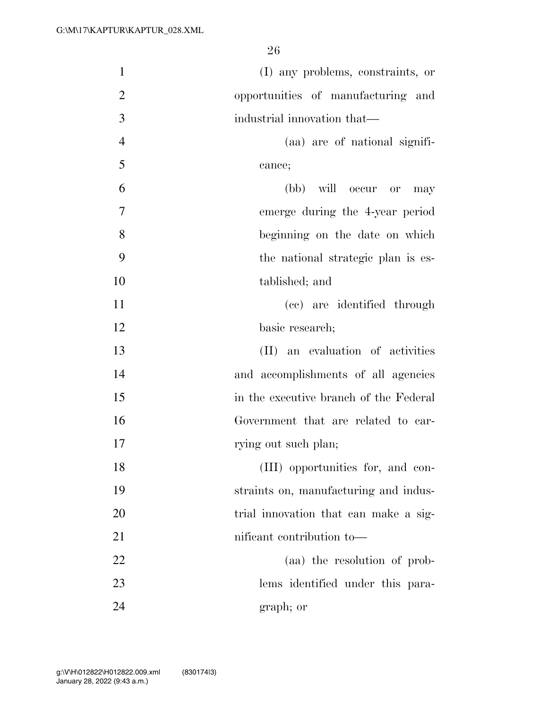| $\mathbf{1}$   | (I) any problems, constraints, or      |
|----------------|----------------------------------------|
| $\overline{2}$ | opportunities of manufacturing and     |
| 3              | industrial innovation that—            |
| $\overline{4}$ | (aa) are of national signifi-          |
| 5              | cance;                                 |
| 6              | (bb) will occur or<br>may              |
| 7              | emerge during the 4-year period        |
| 8              | beginning on the date on which         |
| 9              | the national strategic plan is es-     |
| 10             | tablished; and                         |
| 11             | (cc) are identified through            |
| 12             | basic research;                        |
| 13             | (II) an evaluation of activities       |
| 14             | and accomplishments of all agencies    |
| 15             | in the executive branch of the Federal |
| 16             | Government that are related to car-    |
| 17             | rying out such plan;                   |
| 18             | (III) opportunities for, and con-      |
| 19             | straints on, manufacturing and indus-  |
| 20             | trial innovation that can make a sig-  |
| 21             | nificant contribution to-              |
| 22             | (aa) the resolution of prob-           |
| 23             | lems identified under this para-       |
| 24             | graph; or                              |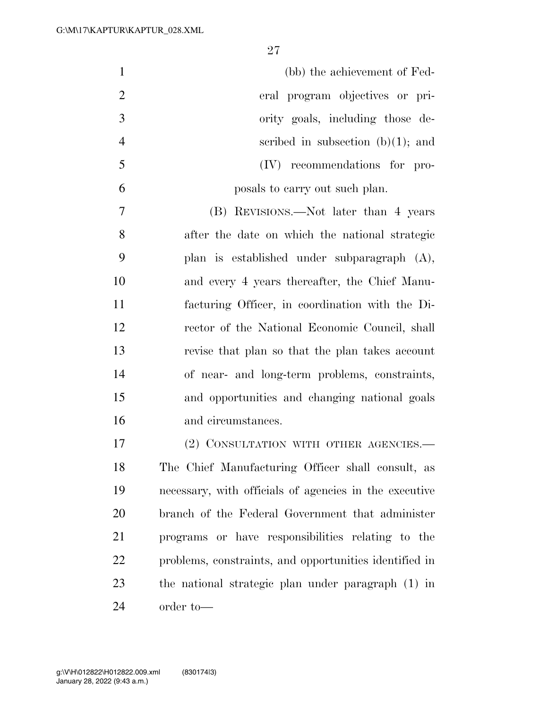| $\mathbf{1}$   | (bb) the achievement of Fed-                           |
|----------------|--------------------------------------------------------|
| $\overline{2}$ | eral program objectives or pri-                        |
| 3              | ority goals, including those de-                       |
| $\overline{4}$ | scribed in subsection $(b)(1)$ ; and                   |
| 5              | (IV) recommendations for pro-                          |
| 6              | posals to carry out such plan.                         |
| 7              | (B) REVISIONS.—Not later than 4 years                  |
| 8              | after the date on which the national strategic         |
| 9              | plan is established under subparagraph (A),            |
| 10             | and every 4 years thereafter, the Chief Manu-          |
| 11             | facturing Officer, in coordination with the Di-        |
| 12             | rector of the National Economic Council, shall         |
| 13             | revise that plan so that the plan takes account        |
| 14             | of near- and long-term problems, constraints,          |
| 15             | and opportunities and changing national goals          |
| 16             | and circumstances.                                     |
| 17             | (2) CONSULTATION WITH OTHER AGENCIES.—                 |
| 18             | The Chief Manufacturing Officer shall consult, as      |
| 19             | necessary, with officials of agencies in the executive |
| 20             | branch of the Federal Government that administer       |
| 21             | programs or have responsibilities relating to the      |
| 22             | problems, constraints, and opportunities identified in |
| 23             | the national strategic plan under paragraph (1) in     |
| 24             | order to $\!\!-\!\!$                                   |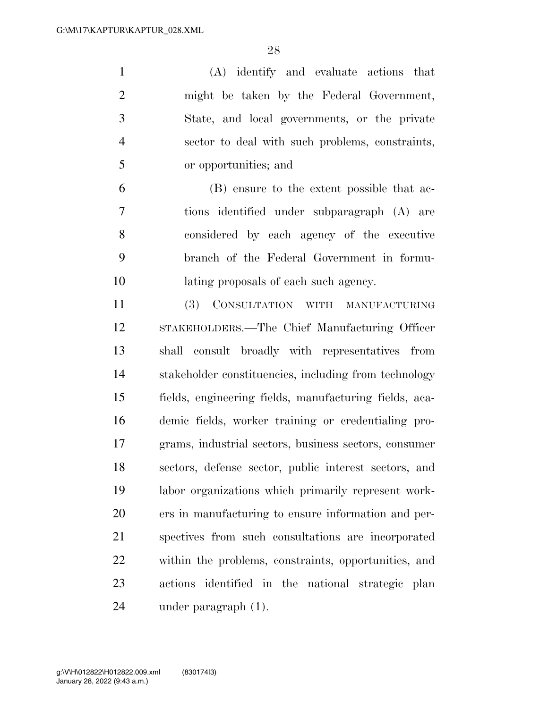(A) identify and evaluate actions that might be taken by the Federal Government, State, and local governments, or the private sector to deal with such problems, constraints, or opportunities; and

 (B) ensure to the extent possible that ac- tions identified under subparagraph (A) are considered by each agency of the executive branch of the Federal Government in formu-lating proposals of each such agency.

 (3) CONSULTATION WITH MANUFACTURING STAKEHOLDERS.—The Chief Manufacturing Officer shall consult broadly with representatives from stakeholder constituencies, including from technology fields, engineering fields, manufacturing fields, aca- demic fields, worker training or credentialing pro- grams, industrial sectors, business sectors, consumer sectors, defense sector, public interest sectors, and labor organizations which primarily represent work- ers in manufacturing to ensure information and per- spectives from such consultations are incorporated within the problems, constraints, opportunities, and actions identified in the national strategic plan under paragraph (1).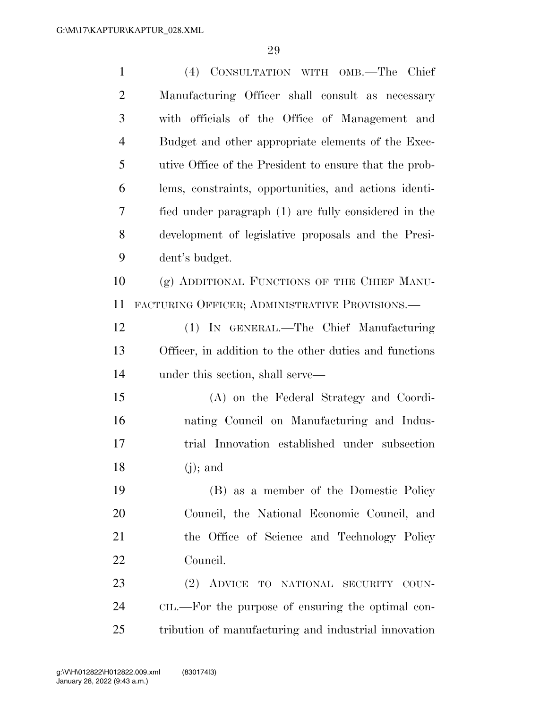| $\mathbf{1}$   | (4) CONSULTATION WITH OMB.-The Chief                   |
|----------------|--------------------------------------------------------|
| $\overline{2}$ | Manufacturing Officer shall consult as necessary       |
| 3              | with officials of the Office of Management and         |
| $\overline{4}$ | Budget and other appropriate elements of the Exec-     |
| 5              | utive Office of the President to ensure that the prob- |
| 6              | lems, constraints, opportunities, and actions identi-  |
| 7              | fied under paragraph (1) are fully considered in the   |
| 8              | development of legislative proposals and the Presi-    |
| 9              | dent's budget.                                         |
| 10             | (g) ADDITIONAL FUNCTIONS OF THE CHIEF MANU-            |
| 11             | FACTURING OFFICER; ADMINISTRATIVE PROVISIONS.          |
| 12             | (1) IN GENERAL.—The Chief Manufacturing                |
| 13             | Officer, in addition to the other duties and functions |
| 14             | under this section, shall serve—                       |
| 15             | (A) on the Federal Strategy and Coordi-                |
| 16             | nating Council on Manufacturing and Indus-             |
| 17             | trial Innovation established under subsection          |
| 18             | $(j)$ ; and                                            |
| 19             | (B) as a member of the Domestic Policy                 |
| 20             | Council, the National Economic Council, and            |
| 21             | the Office of Science and Technology Policy            |
| 22             | Council.                                               |
| 23             | (2) ADVICE TO NATIONAL SECURITY COUN-                  |
| 24             | CIL.—For the purpose of ensuring the optimal con-      |
| 25             | tribution of manufacturing and industrial innovation   |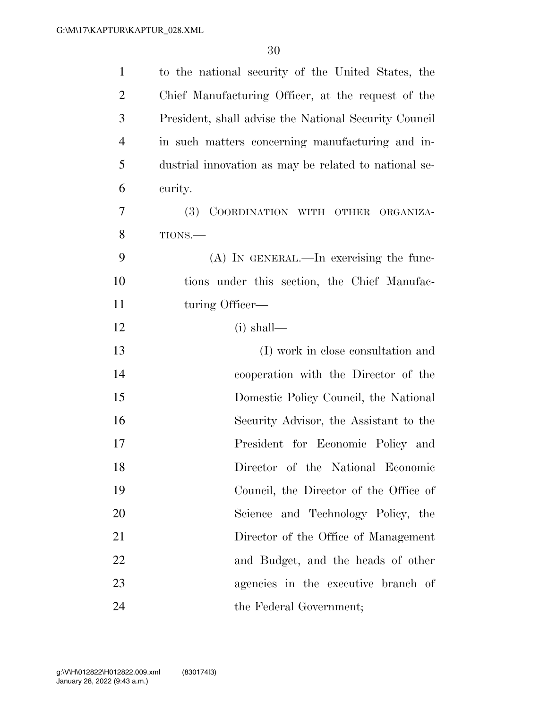| $\mathbf{1}$   | to the national security of the United States, the    |
|----------------|-------------------------------------------------------|
| $\overline{2}$ | Chief Manufacturing Officer, at the request of the    |
| 3              | President, shall advise the National Security Council |
| $\overline{4}$ | in such matters concerning manufacturing and in-      |
| 5              | dustrial innovation as may be related to national se- |
| 6              | curity.                                               |
| 7              | (3) COORDINATION WITH OTHER ORGANIZA-                 |
| 8              | TIONS.-                                               |
| 9              | $(A)$ In GENERAL.—In exercising the func-             |
| 10             | tions under this section, the Chief Manufac-          |
| 11             | turing Officer—                                       |
| 12             | $(i)$ shall—                                          |
| 13             | (I) work in close consultation and                    |
| 14             | cooperation with the Director of the                  |
| 15             | Domestic Policy Council, the National                 |
| 16             | Security Advisor, the Assistant to the                |
| 17             | President for Economic Policy and                     |
| 18             | Director of the National Economic                     |
| 19             | Council, the Director of the Office of                |
| 20             | Science and Technology Policy, the                    |
| 21             | Director of the Office of Management                  |
| 22             | and Budget, and the heads of other                    |
| 23             | agencies in the executive branch of                   |
| 24             | the Federal Government;                               |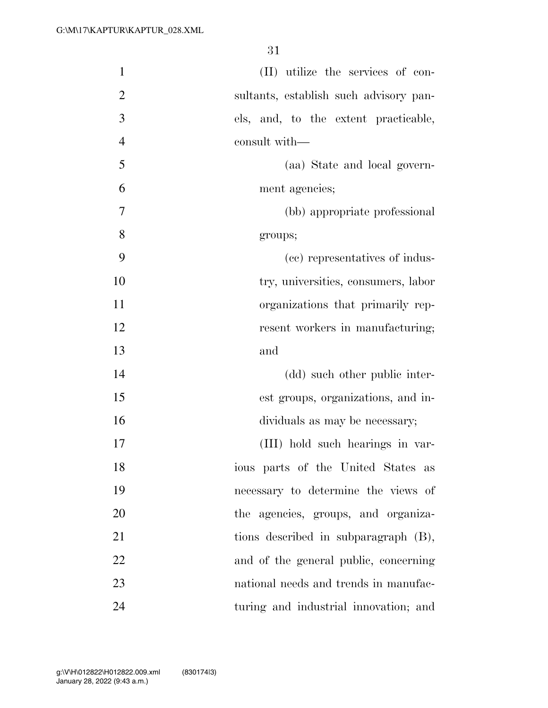| $\mathbf{1}$   | (II) utilize the services of con-      |
|----------------|----------------------------------------|
| $\overline{2}$ | sultants, establish such advisory pan- |
| 3              | els, and, to the extent practicable,   |
| $\overline{4}$ | consult with—                          |
| 5              | (aa) State and local govern-           |
| 6              | ment agencies;                         |
| 7              | (bb) appropriate professional          |
| 8              | groups;                                |
| 9              | (cc) representatives of indus-         |
| 10             | try, universities, consumers, labor    |
| 11             | organizations that primarily rep-      |
| 12             | resent workers in manufacturing;       |
| 13             | and                                    |
| 14             | (dd) such other public inter-          |
| 15             | est groups, organizations, and in-     |
| 16             | dividuals as may be necessary;         |
| 17             | (III) hold such hearings in var-       |
| 18             | ious parts of the United States as     |
| 19             | necessary to determine the views of    |
| 20             | the agencies, groups, and organiza-    |
| 21             | tions described in subparagraph (B),   |
| 22             | and of the general public, concerning  |
| 23             | national needs and trends in manufac-  |
| 24             | turing and industrial innovation; and  |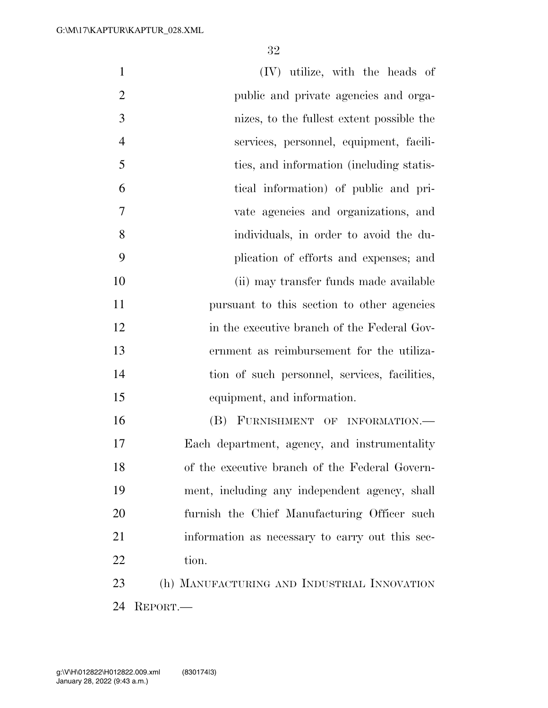| $\mathbf{1}$   | (IV) utilize, with the heads of                 |
|----------------|-------------------------------------------------|
| $\overline{2}$ | public and private agencies and orga-           |
| 3              | nizes, to the fullest extent possible the       |
| $\overline{4}$ | services, personnel, equipment, facili-         |
| 5              | ties, and information (including statis-        |
| 6              | tical information) of public and pri-           |
| 7              | vate agencies and organizations, and            |
| 8              | individuals, in order to avoid the du-          |
| 9              | plication of efforts and expenses; and          |
| 10             | (ii) may transfer funds made available          |
| 11             | pursuant to this section to other agencies      |
| 12             | in the executive branch of the Federal Gov-     |
| 13             | ernment as reimbursement for the utiliza-       |
| 14             | tion of such personnel, services, facilities,   |
| 15             | equipment, and information.                     |
| 16             | (B) FURNISHMENT OF INFORMATION.-                |
| 17             | Each department, agency, and instrumentality    |
| 18             | of the executive branch of the Federal Govern-  |
| 19             | ment, including any independent agency, shall   |
| 20             | furnish the Chief Manufacturing Officer such    |
| 21             | information as necessary to carry out this sec- |
| 22             | tion.                                           |
| 23             | (h) MANUFACTURING AND INDUSTRIAL INNOVATION     |
| 24             | REPORT.                                         |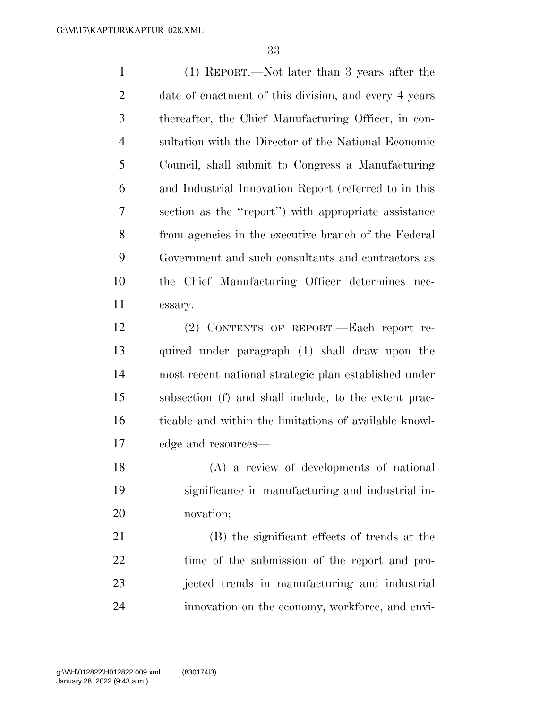(1) REPORT.—Not later than 3 years after the date of enactment of this division, and every 4 years thereafter, the Chief Manufacturing Officer, in con- sultation with the Director of the National Economic Council, shall submit to Congress a Manufacturing and Industrial Innovation Report (referred to in this section as the ''report'') with appropriate assistance from agencies in the executive branch of the Federal Government and such consultants and contractors as the Chief Manufacturing Officer determines nec- essary. (2) CONTENTS OF REPORT.—Each report re- quired under paragraph (1) shall draw upon the most recent national strategic plan established under subsection (f) and shall include, to the extent prac- ticable and within the limitations of available knowl-edge and resources—

 (A) a review of developments of national significance in manufacturing and industrial in-novation;

 (B) the significant effects of trends at the 22 time of the submission of the report and pro- jected trends in manufacturing and industrial innovation on the economy, workforce, and envi-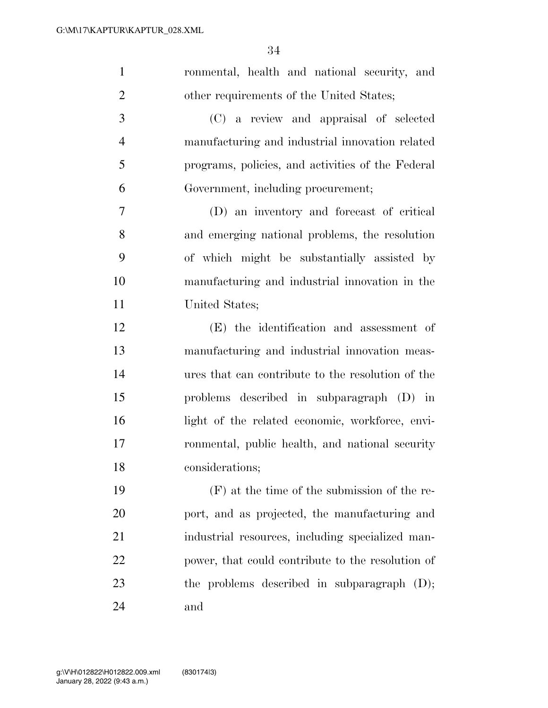| $\mathbf{1}$   | ronmental, health and national security, and      |
|----------------|---------------------------------------------------|
| $\overline{2}$ | other requirements of the United States;          |
| 3              | (C) a review and appraisal of selected            |
| $\overline{4}$ | manufacturing and industrial innovation related   |
| 5              | programs, policies, and activities of the Federal |
| 6              | Government, including procurement;                |
| $\overline{7}$ | (D) an inventory and forecast of critical         |
| 8              | and emerging national problems, the resolution    |
| 9              | of which might be substantially assisted by       |
| 10             | manufacturing and industrial innovation in the    |
| 11             | United States;                                    |
| 12             | (E) the identification and assessment of          |
| 13             | manufacturing and industrial innovation meas-     |
| 14             | ures that can contribute to the resolution of the |
| 15             | problems described in subparagraph (D) in         |
| 16             | light of the related economic, workforce, envi-   |
| 17             | ronmental, public health, and national security   |
| 18             | considerations;                                   |
| 19             | $(F)$ at the time of the submission of the re-    |
| 20             | port, and as projected, the manufacturing and     |
| 21             | industrial resources, including specialized man-  |
| 22             | power, that could contribute to the resolution of |
| 23             | the problems described in subparagraph $(D)$ ;    |
| 24             | and                                               |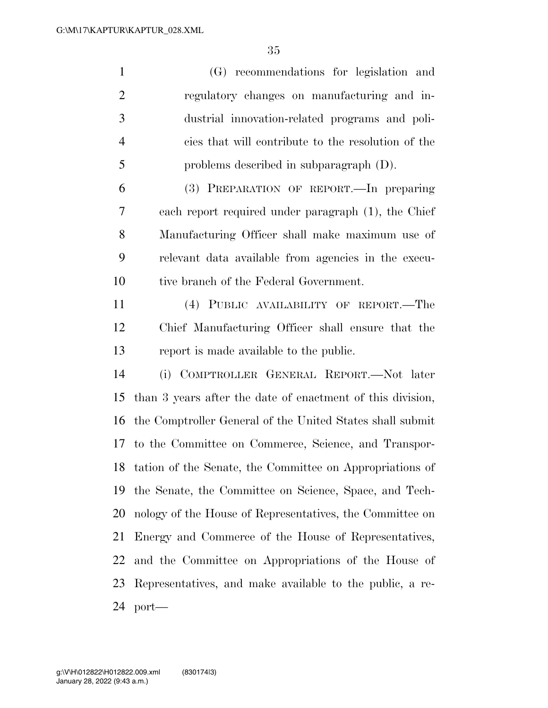(G) recommendations for legislation and regulatory changes on manufacturing and in- dustrial innovation-related programs and poli- cies that will contribute to the resolution of the problems described in subparagraph (D). (3) PREPARATION OF REPORT.—In preparing

 each report required under paragraph (1), the Chief Manufacturing Officer shall make maximum use of relevant data available from agencies in the execu-tive branch of the Federal Government.

 (4) PUBLIC AVAILABILITY OF REPORT.—The Chief Manufacturing Officer shall ensure that the report is made available to the public.

 (i) COMPTROLLER GENERAL REPORT.—Not later than 3 years after the date of enactment of this division, the Comptroller General of the United States shall submit to the Committee on Commerce, Science, and Transpor- tation of the Senate, the Committee on Appropriations of the Senate, the Committee on Science, Space, and Tech- nology of the House of Representatives, the Committee on Energy and Commerce of the House of Representatives, and the Committee on Appropriations of the House of Representatives, and make available to the public, a re-port—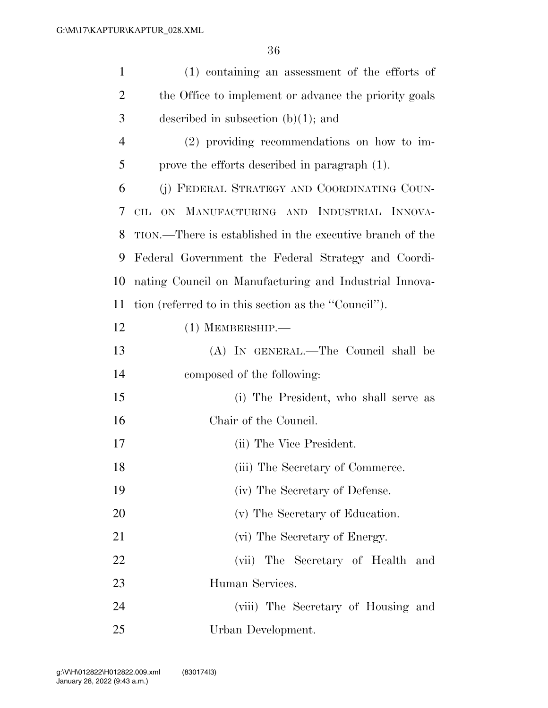| $\mathbf{1}$   | $(1)$ containing an assessment of the efforts of          |
|----------------|-----------------------------------------------------------|
| $\overline{2}$ | the Office to implement or advance the priority goals     |
| 3              | described in subsection $(b)(1)$ ; and                    |
| $\overline{4}$ | $(2)$ providing recommendations on how to im-             |
| 5              | prove the efforts described in paragraph (1).             |
| 6              | (j) FEDERAL STRATEGY AND COORDINATING COUN-               |
| 7              | CIL ON MANUFACTURING AND INDUSTRIAL INNOVA-               |
| 8              | TION.—There is established in the executive branch of the |
| 9              | Federal Government the Federal Strategy and Coordi-       |
| 10             | nating Council on Manufacturing and Industrial Innova-    |
| 11             | tion (referred to in this section as the "Council").      |
| 12             | $(1)$ MEMBERSHIP.—                                        |
| 13             | (A) IN GENERAL.—The Council shall be                      |
| 14             | composed of the following:                                |
| 15             | (i) The President, who shall serve as                     |
| 16             | Chair of the Council.                                     |
| 17             | (ii) The Vice President.                                  |
| 18             | (iii) The Secretary of Commerce.                          |
| 19             | (iv) The Secretary of Defense.                            |
| 20             | (v) The Secretary of Education.                           |
| 21             | (vi) The Secretary of Energy.                             |
| 22             | (vii) The Secretary of Health and                         |
| 23             | Human Services.                                           |
| 24             | (viii) The Secretary of Housing and                       |
| 25             | Urban Development.                                        |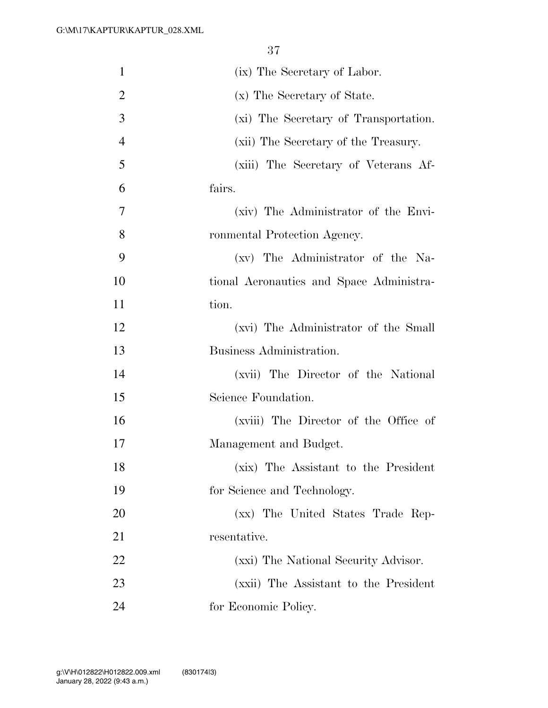| $\mathbf{1}$   | (ix) The Secretary of Labor.             |
|----------------|------------------------------------------|
| $\overline{2}$ | (x) The Secretary of State.              |
| 3              | (xi) The Secretary of Transportation.    |
| $\overline{4}$ | (xii) The Secretary of the Treasury.     |
| 5              | (xiii) The Secretary of Veterans Af-     |
| 6              | fairs.                                   |
| 7              | (xiv) The Administrator of the Envi-     |
| 8              | ronmental Protection Agency.             |
| 9              | (xv) The Administrator of the Na-        |
| 10             | tional Aeronautics and Space Administra- |
| 11             | tion.                                    |
| 12             | (xvi) The Administrator of the Small     |
| 13             | Business Administration.                 |
| 14             | (xvii) The Director of the National      |
| 15             | Science Foundation.                      |
| 16             | (xviii) The Director of the Office of    |
| 17             | Management and Budget.                   |
| 18             | (xix) The Assistant to the President     |
| 19             | for Science and Technology.              |
| 20             | (xx) The United States Trade Rep-        |
| 21             | resentative.                             |
| 22             | (xxi) The National Security Advisor.     |
| 23             | (xxii) The Assistant to the President    |
| 24             | for Economic Policy.                     |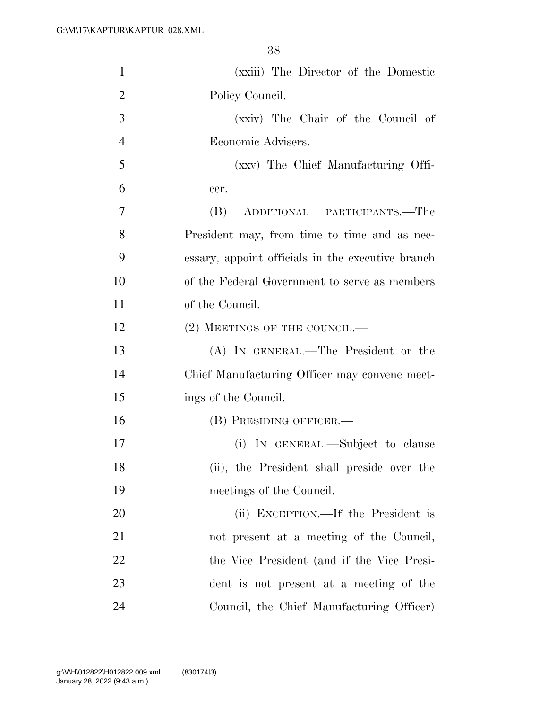| $\mathbf{1}$   | (xxiii) The Director of the Domestic              |
|----------------|---------------------------------------------------|
| $\overline{2}$ | Policy Council.                                   |
| 3              | (xxiv) The Chair of the Council of                |
| $\overline{4}$ | Economic Advisers.                                |
| 5              | (xxv) The Chief Manufacturing Offi-               |
| 6              | cer.                                              |
| 7              | (B)<br>ADDITIONAL PARTICIPANTS.—The               |
| 8              | President may, from time to time and as nec-      |
| 9              | essary, appoint officials in the executive branch |
| 10             | of the Federal Government to serve as members     |
| 11             | of the Council.                                   |
| 12             | $(2)$ MEETINGS OF THE COUNCIL.—                   |
| 13             | (A) IN GENERAL.—The President or the              |
| 14             | Chief Manufacturing Officer may convene meet-     |
| 15             | ings of the Council.                              |
| 16             | (B) PRESIDING OFFICER.—                           |
| 17             | (i) IN GENERAL.—Subject to clause                 |
| 18             | (ii), the President shall preside over the        |
| 19             | meetings of the Council.                          |
| 20             | (ii) EXCEPTION.—If the President is               |
| 21             | not present at a meeting of the Council,          |
| 22             | the Vice President (and if the Vice Presi-        |
| 23             | dent is not present at a meeting of the           |
| 24             | Council, the Chief Manufacturing Officer)         |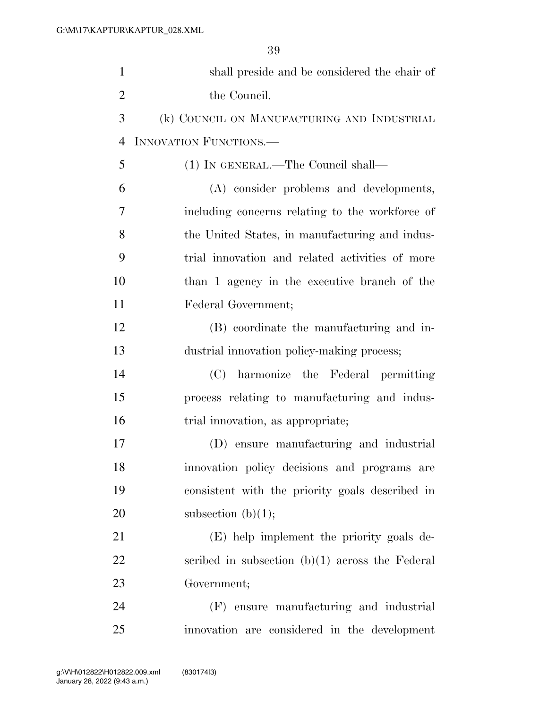| $\mathbf{1}$   | shall preside and be considered the chair of      |
|----------------|---------------------------------------------------|
| $\overline{2}$ | the Council.                                      |
| 3              | (k) COUNCIL ON MANUFACTURING AND INDUSTRIAL       |
| $\overline{4}$ | INNOVATION FUNCTIONS.                             |
| 5              | (1) IN GENERAL.—The Council shall—                |
| 6              | (A) consider problems and developments,           |
| 7              | including concerns relating to the workforce of   |
| 8              | the United States, in manufacturing and indus-    |
| 9              | trial innovation and related activities of more   |
| 10             | than 1 agency in the executive branch of the      |
| 11             | Federal Government;                               |
| 12             | (B) coordinate the manufacturing and in-          |
| 13             | dustrial innovation policy-making process;        |
| 14             | harmonize the Federal permitting<br>(C)           |
| 15             | process relating to manufacturing and indus-      |
| 16             | trial innovation, as appropriate;                 |
| 17             | (D) ensure manufacturing and industrial           |
| 18             | innovation policy decisions and programs are      |
| 19             | consistent with the priority goals described in   |
| 20             | subsection $(b)(1);$                              |
| 21             | (E) help implement the priority goals de-         |
| 22             | scribed in subsection $(b)(1)$ across the Federal |
| 23             | Government;                                       |
| 24             | (F) ensure manufacturing and industrial           |
| 25             | innovation are considered in the development      |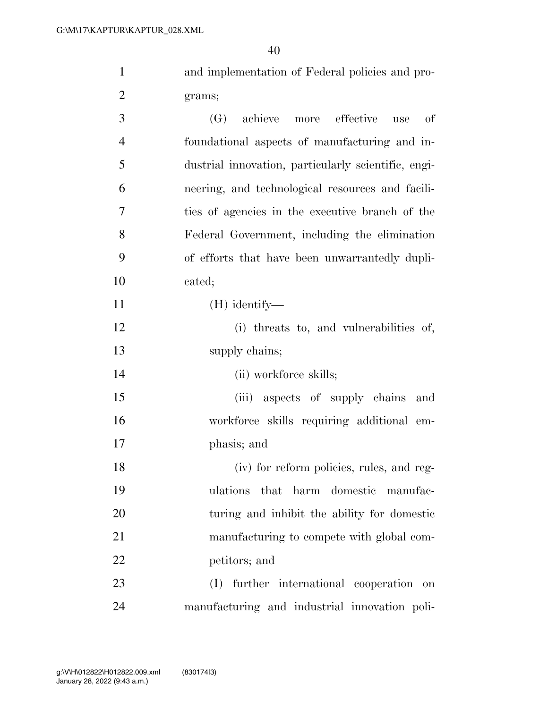and implementation of Federal policies and pro-grams;

 (G) achieve more effective use of foundational aspects of manufacturing and in- dustrial innovation, particularly scientific, engi- neering, and technological resources and facili- ties of agencies in the executive branch of the Federal Government, including the elimination of efforts that have been unwarrantedly dupli- cated; (H) identify— 12 (i) threats to, and vulnerabilities of, supply chains; 14 (ii) workforce skills; (iii) aspects of supply chains and workforce skills requiring additional em- phasis; and (iv) for reform policies, rules, and reg- ulations that harm domestic manufac- turing and inhibit the ability for domestic manufacturing to compete with global com- petitors; and (I) further international cooperation on manufacturing and industrial innovation poli-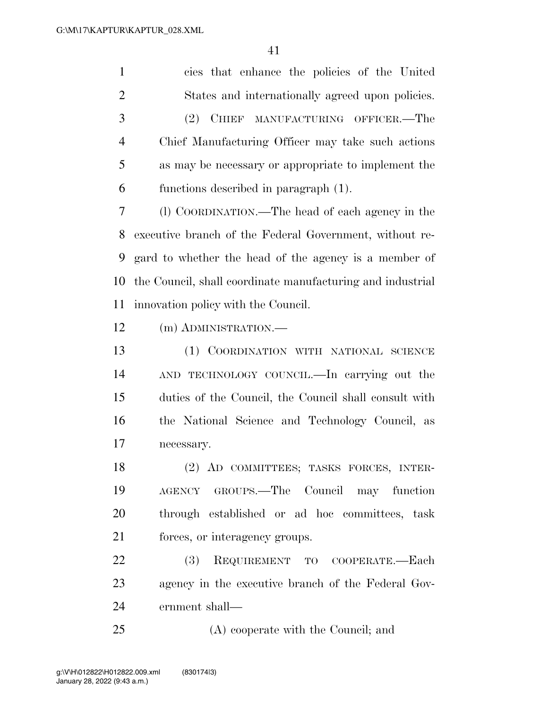cies that enhance the policies of the United States and internationally agreed upon policies. (2) CHIEF MANUFACTURING OFFICER.—The Chief Manufacturing Officer may take such actions as may be necessary or appropriate to implement the functions described in paragraph (1).

 (l) COORDINATION.—The head of each agency in the executive branch of the Federal Government, without re- gard to whether the head of the agency is a member of the Council, shall coordinate manufacturing and industrial innovation policy with the Council.

(m) ADMINISTRATION.—

 (1) COORDINATION WITH NATIONAL SCIENCE AND TECHNOLOGY COUNCIL.—In carrying out the duties of the Council, the Council shall consult with the National Science and Technology Council, as necessary.

 (2) AD COMMITTEES; TASKS FORCES, INTER- AGENCY GROUPS.—The Council may function through established or ad hoc committees, task forces, or interagency groups.

 (3) REQUIREMENT TO COOPERATE.—Each agency in the executive branch of the Federal Gov-ernment shall—

(A) cooperate with the Council; and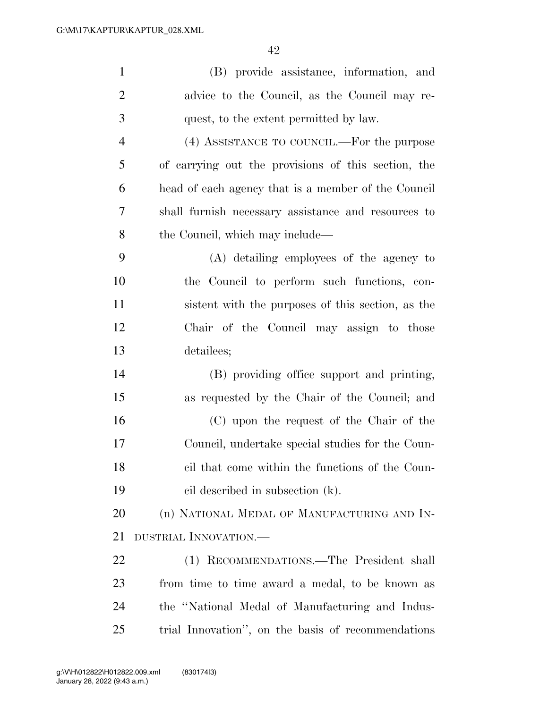| $\mathbf{1}$   | (B) provide assistance, information, and            |
|----------------|-----------------------------------------------------|
| $\overline{2}$ | advice to the Council, as the Council may re-       |
| 3              | quest, to the extent permitted by law.              |
| $\overline{4}$ | (4) ASSISTANCE TO COUNCIL.—For the purpose          |
| 5              | of carrying out the provisions of this section, the |
| 6              | head of each agency that is a member of the Council |
| 7              | shall furnish necessary assistance and resources to |
| 8              | the Council, which may include—                     |
| 9              | (A) detailing employees of the agency to            |
| 10             | the Council to perform such functions, con-         |
| 11             | sistent with the purposes of this section, as the   |
| 12             | Chair of the Council may assign to those            |
| 13             | detailees;                                          |
| 14             | (B) providing office support and printing,          |
| 15             | as requested by the Chair of the Council; and       |
| 16             | (C) upon the request of the Chair of the            |
| 17             | Council, undertake special studies for the Coun-    |
| 18             | cil that come within the functions of the Coun-     |
| 19             | cil described in subsection (k).                    |
| 20             | (n) NATIONAL MEDAL OF MANUFACTURING AND IN-         |
| 21             | DUSTRIAL INNOVATION.—                               |
| 22             | (1) RECOMMENDATIONS.—The President shall            |
| 23             | from time to time award a medal, to be known as     |
| 24             | the "National Medal of Manufacturing and Indus-     |
| 25             | trial Innovation", on the basis of recommendations  |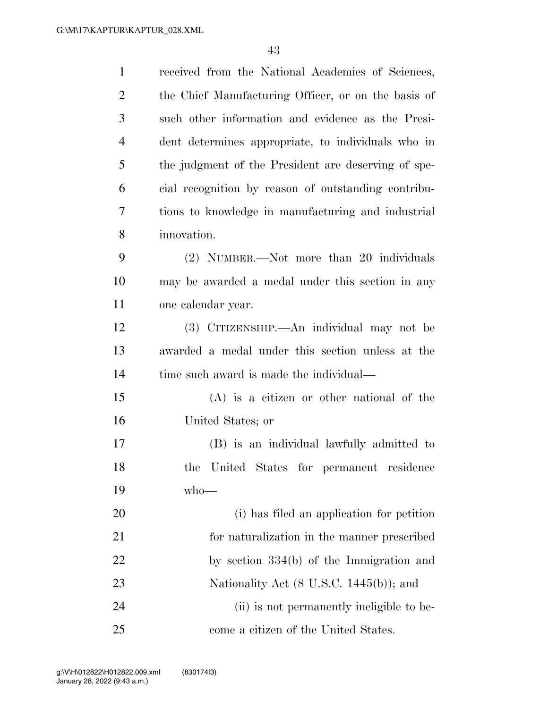| $\mathbf{1}$   | received from the National Academies of Sciences,   |
|----------------|-----------------------------------------------------|
| $\overline{2}$ | the Chief Manufacturing Officer, or on the basis of |
| 3              | such other information and evidence as the Presi-   |
| $\overline{4}$ | dent determines appropriate, to individuals who in  |
| 5              | the judgment of the President are deserving of spe- |
| 6              | cial recognition by reason of outstanding contribu- |
| 7              | tions to knowledge in manufacturing and industrial  |
| 8              | innovation.                                         |
| 9              | (2) NUMBER.—Not more than 20 individuals            |
| 10             | may be awarded a medal under this section in any    |
| 11             | one calendar year.                                  |
| 12             | (3) CITIZENSHIP.—An individual may not be           |
| 13             | awarded a medal under this section unless at the    |
| 14             | time such award is made the individual—             |
| 15             | $(A)$ is a citizen or other national of the         |
| 16             | United States; or                                   |
| 17             | (B) is an individual lawfully admitted to           |
| 18             | the United States for permanent residence           |
| 19             | $who$ —                                             |
| 20             | (i) has filed an application for petition           |
| 21             | for naturalization in the manner prescribed         |
| 22             | by section $334(b)$ of the Immigration and          |
| 23             | Nationality Act $(8 \text{ U.S.C. } 1445(b))$ ; and |
| 24             | (ii) is not permanently ineligible to be-           |
| 25             | come a citizen of the United States.                |